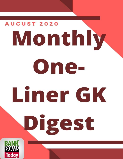# **AUGUST 2020** Monthly one-Liner GK Digest BAN EXAMS Today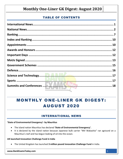## TABLE OF CONTENTS

| Lante de la Co |  |
|----------------|--|

# MONTHLY ONE-LINER GK DIGEST: AUGUST 2020

## INTERNATIONAL NEWS

#### <span id="page-1-0"></span>**'State of Environmental Emergency'- by Mauritius**

- The island nation Mauritius has declared **'State of Environmental Emergency'.**
- It is declared by the island nation because Japanese bulk carrier "MV Wakashio" ran aground on a Mauritius's reef and has begun leaking of oil into the ocean.

#### **UK launched Innovation Challenge Fund in India**

The United Kingdom has launched **3 million pound Innovation Challenge Fund** in India.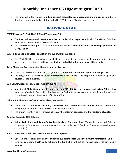<span id="page-2-0"></span> The funds will offer finance to **Indian Scientist associated with academics and industries in India** so that they can work to find a solution to tackle COVID-19 and Climate change issue.

## NATIONAL NEWS

#### **'MSMESaksham' - Portal by SIDBI and TransUnion CIBIL**

- The **Small Industries and Development Bank of India (SIDBI) in partnership with TransUnion CIBIL** has launched a portal named as 'MSMESaksham'.
- The 'MSMESaksham' portal is a comprehensive **financial education and a knowledge platform for MSME sector.**

#### **AIM, Bill and Melinda Gates Foundation and Wadhwani Foundation**

 The 'AIM-iCREST' is an incubator capabilities enrichment and enhancement program which aims to build robust ecosystem. It will focus on **startups and will develop innovative skills in India.**

#### **MSME launched Programme for Manufacturing of Agarbatti**

- Ministry of MSME has launched a programme **to uplift the artisans who manufacture Agarbatti.**
- The programme is launched under **'Gramodyog Vikas Yojana'.** The program will help to uplift and develop village industries.

#### **ARHCs Knowledge Pack & Mobile App of CREDAI**

 **Minister of State (independent charge) for MoHUA (Ministry of Housing and Urban Affairs)** has launched Affordable Rental Housing Complexes Pack and an Awaas app for Confederation of Real Estate Developers and Association of India (CREDAI).

#### **'Bharat Air Fibre Services' launched at Akola, Maharashtra**

- Union minister for **state for HRD, Electronics and Communication and IT, Sanjay Dhotre** has inaugurated 'Bharat Air Fibre Services' at Akola Maharashtra.
- The Bharat Fiber Service will provide **Wireless fibre internet connection to the residents of Akola.**

#### **Sahakar Cooptube NCDC Channel**

 **Union Agriculture and Farmer's Welfare Minister Narendra Singh Tomar** has launched Sahakar Cooptube NCDC Channel, it is initiative which cones under NCDC (National Cooperative Development Corporation).

#### **India contributes to India-UN Development Partnership Fund**

- Government of India has contributed financial support to **India-UN Development Partnership Fund.**
- India has contributed **USD 15.46 million** to the fund which will act as financial support to developing nations.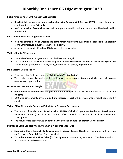#### **Bharti Airtel partners with Amazon Web Services**

- **Bharti Airtel has entered into a partnership with Amazon Web Services (AWS)** in order to provide cloud solutions to SMEs in India.
- **AWS technical professional services** will be supporting AWS cloud practice which will be developed by Airtel cloud.

#### **India provided Financial Support to Maldives**

- India has offered a Line of Credit to the island nation Maldives to support and expand its fishing facility at **MIFCO (Maldives Industrial Fisheries Company).**
- A-Line of Credit worth **18 million US dollars** is offered by India.

#### **'Pride of Punjab' Programme**

- The **Pride of Punjab Programme** is launched by CM of Punjab.
- The programme is launched in partnership between the **Department of Youth Science and Sports and YuWaah** (Joint platform of UNICEF, UN Agencies and Civil society organisations).

#### **Delhi Electric Vehicle Policy**

- Government of Delhi has launched **'Delhi Electric Vehicle Policy'.**
- This is the progressive policy which will **boost the economy. Reduce pollution and will create employment opportunities.**

#### **Maharashtra partners with Google**

- **Government of Maharashtra has partnered with Google** to start virtual educational classes to the students.
- **1.09 lakh government, private, aided and unaided school** will be given online virtual education by google.

#### **Virtual Office Network to Spearhead Tribal Socio-Economic Development**

- The entity of **Ministry of Tribal Affairs, TRIFED (Tribal Cooperative Marketing Development Federation of India)** has launched Virtual Office Network to Spearhead Tribal Socio-Economic Development.
- The virtual office network was launched on the occasion of **33rd Foundation Day of TRIFED.**

#### **Submarine Cable Connectivity to Andaman & Nicobar Islands (CANI)**

- **Submarine Cable Connectivity to Andaman & Nicobar Islands (CANI)** has been launched via video conference by Prime Minister Narendra Modi.
- This **submarine Optical Fibre Cable (OFC)** will provide a connectivity for Chennai, Tamil Nadu and Port Blair, Andaman and Nicobar Island.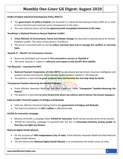#### **Andhra Pradesh Industrial Development Policy 2020-23**

- The **government of Andhra Pradesh** has launched it's Industrial Development Policy 2020-23 in order to have industrial and corporate sector development in the state.
- The new industrial policy will led **to regional growth and global investment in the state.**

#### **'Surakhsya' a National Portal on Human Elephant Conflict**

- **Union Minister of Environment, Forest and Climate Change** has launched a national portal on Human-Elephant conflict. The name of the portal is 'Surakhsya'.
- The portal is launched with an aim **to collect real-time data and to manage the conflicts in real-time basis.**

#### **'Sputnik V'-- World's 1st Coronavirus Vaccine**

- Russia has developed and named its **first coronavirus vaccine as 'Sputnik V'.**
- The name 'Sputnik V' is given in **reference and respect to the world's first satellite.**

#### **'nth Rewards'—Launched by NPCI**

- **National Payment Corporation of India (NPCI)** has developed and launched a business intelligence and analytics-based omnichannel, multi-branded loyalty platform named as 'nth Rewards'.
- The platform is launched **to grow customer base and become the one-stop-shop for banks.**

#### **'Transparent Taxation-Honoring the Honest' Platform**

- Prime Minister Narendra Modi has launched a platform called **'Transparent Taxation-Honoring the Honest'.**
- The platform is launched **to carry forward the direct tax reforms and to honour the honest taxpayers.**

#### **India provides Financial Support to Antigua and Barbuda**

- India has offered a financial helping hand to the **government of Antigua and Barbuda.**
- The financial assistance of **USD 1 million** is offered by India.

#### **AYUSH for Immunity Campaign**

- Ministry of AYUSH a campaign titled **'AYUSH for Immunity'** which will be carried out for three months.
- 'AYUSH for Immunity' campaign is launched with the aim of **enhancing immunity among people so that they can fight any disease.**

#### **National Digital Health Mission**

- On the occasion of **74th Independence Day of India**, Prime Minister Narendra Modi launched National Digital Health Mission.
- The aim behind this **National Digital Health Mission** is to revolutionize the health sector of India.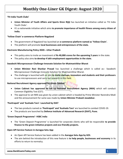#### **'Fit India Youth Clubs'**

- **Union Minister of Youth Affairs and Sports Kiren Rijiji** has launched an initiative called as 'Fit India Youth Clubs'.
- It's a nationwide initiative which aims **to promote importance of health fitness among every citizen of India.**

#### **'Yellow Chain' e-commerce Platform-Nagaland**

- The government of Nagaland has launched an **e-commerce platform named as 'Yellow Chain'.**
- The platform will promote **local businesses and entrepreneurs of the state.**

#### **Electronic Manufacturing Policy 2020---Uttar Pradesh**

- This policy aims to invite an investment of **Rs 40,000 crores for the upcoming 5 years** in the state.
- The policy also aims **to develop 4 lakh employment opportunities in the state.**

#### **Swadeshi Microprocessor Challenge-Innovate Solution for #Aatmanirbhar Bharat**

- **Union Minister Ravi Shankar Prasad** has launched a challenge which is called as:- Swadeshi Microprocessor Challenge-Innovate Solution for #Aatmanirbhar Bharat.
- The challenge is launched with an aim **to invite startups, innovators and students and their professors** to use microprocessors and carry out research in this field.

#### **National Recruitment Agency approved by Union Cabinet**

- **Union Cabinet has approved to set up National Recruitment Agency (NRA)** which will conduct Common Eligibility Test (CET).
- The approval to set NRA was given by union cabinet which is headed by Prime Minister Narendra Modi and the announcement for same was made by **Union Minister Prakash Javadekar.**

#### **'Pavitrapati' and 'Aushada Tara'- Launched by DIAT**

- The two products named as **'Pavitrapati' and 'Aushada Tara'** are launched to combat COVID-19.
- The products are launched by **Defence Institute of Advanced Research (DIAT), Pune.**

#### **'Green Deposit Programme'- HSBC India**

 The 'Green Deposit Programme' is launched for corporate clients who will be responsible **to provide finance to the green initiative projects and eco-friendly projects.**

#### **Open API Service Feature in Aarogya Setu App**

- An Open API Service feature has been added in the **Aarogya Setu App by GOI.**
- The aim behind the introduction of this new feature is **to help people, businesses and economy** in its efforts to return to normalcy.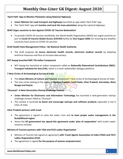#### **'Harit Path' App to Monitor Plantation along National Highways**

- **Union Minister for road transport and highways** launched an app called 'Harit Path' app.
- The 'Harit Path' app will **monitor and track the trees plantation** along the national highways.

#### **WHO Urges countries to Join Against COVID-19 'Vaccine Nationalism'**

 To provide COVID-19 vaccines worldwide, the World Health Organization (WHO) has urged countries to join its **Covid-19 Vaccine Global Access (COVAX)** facility by **31st August 2020,** for ensuring less wealthy countries have access to COVID-19 vaccines.

#### **Draft Health Data Management Policy—By National Health Authority**

 The draft proposes **to secure electronic health records, electronic medical records** by adopting technical measures and thus to increase data privacy.

#### **NITI Aayog launched NDC-TIA Indian Component**

 NITI Aayog has launched an Indian component called as **Nationally Determined Contributions (NDC)- Transport Initiative for Asia (TIA),** which is a multi-stakeholder dialogue platform.

#### **7 New Circles of Archaeological Survey of India**

- The **Union Ministry of Culture and Tourism** announced 7 new circles of Archaeological Survey of India.
- The new circles belong to the states of **Madhya Pradesh, Tamil Nadu, Uttar Pradesh, Karnataka, West Bengal and Gujrat.**

#### **'Chunauti'--A Next Generation Startup Challenge Contest**

- **Union Minister for Electronics and Information Technology** has launched a next-generation startup challenge contest, titled as 'Chunauti'.
- The contest is launched **to boost and encourage startups and software products** especially in tier-II cities of India.

#### **Uttar Pradesh partners with Israel**

- The agreement is signed to solve the water crisis and **to have proper water management in the Bundelkhand region.**
- Hence the **UP government has signed this agreement under 'plan of cooperation'** with Israel's water resource minister.

#### **Ministry of Tourism partners with TAAI and FICCI Ladies Organisation**

- Ministry of Tourism has signed an agreement **with Travel Agents Association of India (TAAI) and FICCI Ladies Organisation (FLO).**
- The agreement is signed **for the purpose of women empowerment.**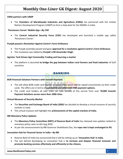#### **CMIA partners with UNDP**

 The **Chambers of Marathwada Industries and Agriculture (CMIA)** has partnered with the United Nations Development Program (UNDP) to form a help desk for the MSMEs in India.

#### **'Pensioners Corner' Mobile App—By CISF**

 The **Central Industrial Security Force (CISF)** has developed and launched a mobile app called 'Pensioners Corner'.

#### **Punjab passed a Resolution Against Centre's Farm Ordinance**

- The Punjab assembly passed and gave **approval for a resolution against Centre's Farm Ordinance.**
- The resolution was tabled by **Punjab's CM Amarinder Singh.**

#### **Agriota: Tech Driven Agri Commodity Trading and Sourcing e-market**

<span id="page-7-0"></span> The platform is launched **to bridge the gap between Indian rural farmers and food industries** of Gulf countries.

## BANKING

#### **BOB Financial Solutions Partners with Innoviti Payment**

- This will allow BOB credit card holders to access EMIs which will be repaid conveniently via their credit cards. The offers are in terms of **convenient and affordable EMI payment options.**
- The credit card holders all over India can take benefit of this service from over **70,000 Innoviti Payment Solutions across more than 1000 cities.**

#### **Virtual Museum of Security Market**

- The **Securities and Exchange Board of India (SEBI)** has decided to develop a virtual museum of security markets in India.
- This virtual museum will highlight the **achievements of the capital markets of India.**

#### **RBI Monetary Policy Updates**

- The **Monetary Policy Committee (MPC) of Reserve Bank of India** has released new updates related to monetary policy rates on 6th Aug 2020.
- As per the announcement by RBI Governor Shaktikanta Das, the **repo rate is kept unchanged to 4%.**

#### **Innovation Hub for Financial Sector in India—By RBI**

- Reserve Bank of India has announced that it will be setting up an **'Innovation Hub' in India.**
- The aim behind developing an innovation hub is **to increase and deepen financial inclusion and promote banking services effectively and efficiently to the citizens.**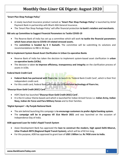#### **'Smart Plan Shop Package Policy'**

- A newly launched insurance product named as **'Smart Plan Shop Package Policy'** is launched by Airtel Payment Bank in partnership with Bharti AXA General Insurance.
- The 'Smart Plan Shop Package Policy' will offer financial protection **to bank's retailers and merchants.**

#### **RBI sets up Committee to Suggest Financial Parameters to Tackle COVID-19**

- The Reserve Bank of India has set up a committee which will work **to tackle the financial parameters which have arisen due to COVID-19 related stressed assets.**
- The **committee is headed by K V Kamath.** The committee will be submitting its solutions and recommendations to RBI in 30 days.

#### **RBI to implement System Based Asset Clarification in Urban Co-operative Banks**

- Reserve Bank of India has taken the decision to implement system-based asset clarification in **urban co-operative banks (UCBs).**
- The decision is taken **to improve efficiency, transparency and integrity** on the clarification process of assets in UCBs.

#### **Federal Bank Credit Card**

- **Federal Bank has partnered with Fiserv Inc.** to launch its 'Federal Bank Credit Card', which is their first independent credit card.
- For this credit card, Federal Bank will make use of **FirstVision technology of Fiserv Inc.**

#### **'Shaurya Kisan Gold Credit (KGC) Card'**

- HDFC Bank has launched **'Shaurya Kisan Gold Credit (KGC) Card'.**
- It is the tri-colour theme-based card which is launched for Indian Armed Forces i.e. **Indian Army, Indian Navy, Indian Air Force and Para Military Forces** and to their families.

#### **'Digital Apnayen'—By Punjab National Bank**

- The aim behind launching this campaign is **to encourage customers to prefer digital banking system.**
- The **campaign will be in progress till 31st March 2021** and was launched on the occasion of Independence Day of India.

#### **ADB approved Loan for India's Rapid Transit System**

- Asian Development Bank has approved the **loan to construct the modern, high speed Delhi-Meerut, Uttar Pradesh RRTS (Regional Rapid Transit System),** which will be of 82 km long.
- For this purpose, ADB has approved to grant loan of **USD 1 Billion i.e. Rs 7458 crore to India.**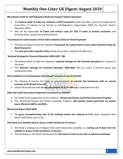#### **RBI releases Draft for Self-Regulatory Body for Payment System Operators**

- The **Reserve Bank of India has released a draft framework** which will offer a grant of recognition to association of industry to be termed as Self-Regulatory Organisation (SRO) for Payment System Operators (PSO).
- SRO will be responsible **to frame and enforce rules for PSO in order to protect customers** and promote ethics, quality and professionalism.

#### **'Framework for Authorisation of Pan-India Umbrella Entity for Retail Payments'**

- The Reserve Bank of India has released **'Framework for authorisation of pan-India Umbrella Entity for Retail Payments'.**
- This **new pan-India umbrella Entity** will be set up with a capital of Rs 500 crore.

#### **'National Strategy for Financial Education 2020-2025'- RBI**

- The Reserve Bank of India has released a **national strategy for the financial education** for a period of five years.
- This **National Strategy for Financial Education 2020-2025** aims to create a financial aware and empowered India.

#### **GST exemption to the Businesses with Annual Turnover of upto Rs 40 lakh**

- The ministry of finance has made an announcement **to exempt the businesses with an annual turnover of Rs 40 lakh from GST.**
- Earlier the businesses with **an annual turnover of Rs 20 lakh** were exempted from GST.

#### **Debt and Credit Guarantee Programme introduced by NABARD**

- The name of the programme or the product is **'Structured Finance and Partial Guarantee Program'.**
- The 'Structured Finance and Partial Guarantee Program' **will provide partial guarantee on pooled loans offered to NBFCs and MFIs.**

#### **RBI Annual Report 2019-2020**

 The **gross non-performing ratio of the banking system has reduced to 9.1%** when compared with March 2019 which was 11.2%.

#### **ICICI Bank uses Satellite Data to Assess Credit worthiness of Farmers**

- ICICI Bank is making use of imagery from earth observation satellites i.e. **making use of data from the satellite to Assess Credit worthiness of farmers.**
- Thus by doing so, ICICI Bank has become the **first bank in India to use such an advance technique.**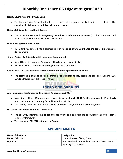#### **Liberty Saving Account—By Axis Bank**

 The Liberty Saving Account will address the need of the youth and digitally interested Indians like **changing lifestyles and hospital cash insurance covers.**

#### **National GIS enabled Land Bank System**

 The system is developed by **integrating the Industrial Information System (IIS)** to the State's GIS. Until now, six major states are included in this system.

#### **HDFC Bank partners with Adobe**

 HDFC Bank has entered into a partnership with Adobe **to offer and enhance the digital experience to its customers.**

#### **'Smart Assist'- By Bajaj Allianz Life Insurance Company Ltd**

- Bajaj Allianz Life Insurance Company Ltd has launched **'Smart Assist'.**
- 'Smart Assist' is a **real-time technology-based** assistant service.

#### **Canara HSBC OBC Life Insurance partnered with Andhra Pragathi Grameena Bank**

<span id="page-10-0"></span> The **partnership is made to sell insurance policies related to life,** health and pension of Canara HSBC OBC Life Insurance at branches of APGB.

## INDEX AND RANKING

**Atal Rankings of Institutions on Innovation Achievements 2020**

- As per the rankings, **IIT Madras has retained its top position in ARIIA for this year** as well. IIT Madras is remarked as the best centrally funded institution in India.
- The rankings were declared on the basis of **two broad categories and six subcategories.**

#### **NITI Aayog's Export Preparedness Index 2020**

- The **EPI 2020 identifies challenges and opportunities** along with the encouragement of facilitative regulatory framework.
- <span id="page-10-1"></span>The ranking for **EPI 2020 is topped by Gujarat.**

## APPOINTMENTS

| <b>Name of the Person</b> | <b>Designation</b>                                   |
|---------------------------|------------------------------------------------------|
| Hamed Bakayoko            | Prime Minister of Ivory Coast                        |
| Uriit Patel               | Additional and Independent Director of Great Eastern |
|                           | Shipping Company Ltd                                 |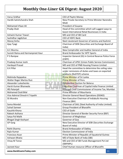| Varus Sridhar                     | CEO of Paytm Money                                     |  |
|-----------------------------------|--------------------------------------------------------|--|
| Hardik Satishchandra Shah         | New Private Secretary to Prime Minister Narendra       |  |
|                                   | Modi                                                   |  |
| Mohamed Irfaan Ali                | President of Guyana                                    |  |
| Pradip Shah                       | Head of the committee which will suggest ways to       |  |
|                                   | boost International Retail Businesses in India         |  |
| Ashwini Kumar Tewari              | MD and CEO of SBI Card                                 |  |
| Sashidhar Jagdishan               | <b>CEO of HDFC Bank</b>                                |  |
| Manoj Sinha                       | Next Lieutenant Governor of Jammu and Kashmir          |  |
| Ajay Tyagi                        | Chairman of SEBI (Securities and Exchange Board of     |  |
|                                   | India)                                                 |  |
| <b>GC Murmu</b>                   | New Comptroller and Auditor General of India           |  |
| Suresh Raina and Harmanpreet Kaur | <b>Brand Ambassador for WTF Sports</b>                 |  |
| P S Ranipse                       | Inspector General (IG) in Central Reserve Police Force |  |
|                                   | (CRPF)                                                 |  |
| Pradeep Kumar Joshi               | Chairman of UPSC (Union Public Service Commission)     |  |
| Hardayal Prasad                   | MD and CEO of PNB Housing Finance Limited              |  |
| <b>G K Pillai</b>                 | Head the committee to determine the ceiling rates      |  |
|                                   | under remissions of duties and taxes on exported       |  |
|                                   | products (RoDTEP) scheme                               |  |
| Mahinda Rajapaksa                 | <b>Prime Minister of Sri Lanka</b>                     |  |
| <b>Walter Roger Martos Ruiz</b>   | <b>Prime Minister of Peru</b>                          |  |
| Alexander Lukashenko              | <b>Presidential Election for Belarus</b>               |  |
| Harsh Kumar Bhanwala              | Executive Chairman of Capital India Finance Limited    |  |
| IRS Patanjali                     | Principal Chief Commissioner of Income Tax, Mumbai     |  |
| <b>Mohamed Ould Bilal</b>         | Prime Minister of Mauritania                           |  |
| Vice Admiral Dinesh K Tripathi    | Director General Naval Operations (DGNO)               |  |
| SS Mundra                         | Non-Executive Chairman of Indiabulls Housing           |  |
|                                   | Finance (IBH)                                          |  |
| Soma Mondal                       | Chairman of SAIL (Steel Authority of India Limited)    |  |
| <b>Suhail Sameer</b>              | Group President of BharatPe                            |  |
| Kaushik Khona                     | <b>CEO of GoAir</b>                                    |  |
| Rakesh Asthana                    | Director General of Border Security Force (BSF)        |  |
| Satya Pal Malik                   | Governor of Meghalaya                                  |  |
| Bhagat Singh Koshyari             | Governor of Goa                                        |  |
| <b>GP Garg</b>                    | New Executive Director of SEBI (Securities Exchange    |  |
|                                   | Board of India)                                        |  |
| Rohit Sharma                      | <b>Brand Ambassador of Oakley</b>                      |  |
| Rajiv Kumar                       | Election Commissioner of India                         |  |
| <b>Francisco Asue</b>             | Prime Minister of Republic of Equatorial Guinea        |  |
| Ashwani Bhatia                    | MD of State Bank of India (SBI)                        |  |
| Vinay M Tonse                     | MD and CEO of SBI Funds Management Pvt Ltd             |  |
|                                   | (SBIFMPL)                                              |  |
| Jasneet Kaur                      | Chief Human resource Officer of BharatPe               |  |
| www.BankExamsToday.com            | 11                                                     |  |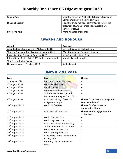| Sandip Patel     | Chair the forum on Artificial Intelligence formed by<br>Confederation of Indian Industry (CII)                      |
|------------------|---------------------------------------------------------------------------------------------------------------------|
| Lt Gen Shekatkar | Head the three member committee to review the<br>utilization of Armed Forces Headquarters Civil<br>Services (AFHCS) |
| Mustapha Adib    | Prime Minister of Lebanon                                                                                           |

## AWARDS AND HONOURS

<span id="page-12-0"></span>

| Award                                               | Awardee                          |
|-----------------------------------------------------|----------------------------------|
| Asian College of Journalism's (ACJ) Award 2019      | Nitin Sethi and Shiv Sahay Singh |
| 'Tenzing Norgay National Adventure Award 2019       | Wing Commander Gajanand Yadava   |
| Rashtritya Khel Protsahan Puraskar 2020             | Army Sports Institute, Pune      |
| International Booker Prize 2020 for her debut novel | Marieke Lucas Rijneveld          |
| 'The Discomfort of Evening'                         |                                  |
| National Award to Teachers 2020                     | Sudha Painuli                    |

## IMPORTANT DAYS

<span id="page-12-1"></span>

| Date                         | <b>Day</b>                      | <b>Theme</b>                    |
|------------------------------|---------------------------------|---------------------------------|
| 1st August 2020              | <b>Muslim Women's Right Day</b> | $-$                             |
| 3rd August 2020              | <b>World Sanskrit Day</b>       | --                              |
| 6 <sup>th</sup> August 2020  | Hiroshima Day                   | --                              |
| 7 <sup>th</sup> August 2020  | <b>National Handloom Day</b>    | $-$                             |
| 8 <sup>th</sup> August 2020  | 78th Anniversary of Quit India  |                                 |
|                              | Movement or August Kranti Din   |                                 |
| 9 <sup>th</sup> August 2020  | International Day of World's    | Theme: 'COVID-19 and Indigenous |
|                              | Indigenous People               | People Resilience'              |
| 10 <sup>th</sup> August 2020 | World Biofuel Day               | Theme: 'Biofuels towards        |
|                              |                                 | Atmanirbhar Bharat'             |
| $12^{th}$ August 2020        | International Youth Day         | Theme: Youth Engagement for     |
|                              |                                 | <b>Global Action</b>            |
| $12^{th}$ August 2020        | World Elephant Day              | $\overline{\phantom{a}}$        |
| $13th$ August 2020           | <b>World Organ Donation Day</b> | --                              |
| $13th$ August 2020           | International Left Handers Day  | $-$                             |
| 15 <sup>th</sup> August 2020 | 74th Independence Day of India  | $\overline{\phantom{a}}$        |
| 19 <sup>th</sup> August 2020 | World Humanitarian Day          | $\overline{\phantom{a}}$        |
| 19 <sup>th</sup> August 2020 | World Photography Day           | $-$                             |
| 20 <sup>th</sup> August 2020 | Renewable Energy Day or Indian  | $-$                             |
|                              | Akshay Urja                     |                                 |
| 20 <sup>th</sup> August 2020 | Harmony Day or Sadbhavana       |                                 |
|                              | <b>Diwas</b>                    |                                 |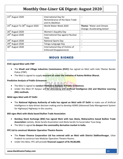| 23rd August 2020                                        | International Day for             |                              |
|---------------------------------------------------------|-----------------------------------|------------------------------|
|                                                         | Remembrance of the Slave Trade    |                              |
|                                                         | and its Abolition                 |                              |
| 24 <sup>th</sup> August To 28 <sup>th</sup> August 2020 | World Water Week 2020             | Theme: 'Water and Climate    |
|                                                         |                                   | Change: Accelerating Action' |
| 26 <sup>th</sup> August 2020                            | Women's Equality Day              |                              |
| 29 <sup>th</sup> August 2020                            | International Day against Nuclear |                              |
|                                                         | Tests                             |                              |
| 29 <sup>th</sup> August 2020                            | <b>National Sports Day</b>        |                              |
| 29 <sup>th</sup> August 2020                            | Telugu Language Day               |                              |
| 30 <sup>th</sup> August 2020                            | International Day of Victims of   |                              |
|                                                         | <b>Enforced Disappearances</b>    |                              |

## MOUS SIGNED

#### <span id="page-13-0"></span>**KVIC signed MoU with ITBP**

- The **Khadi and Village Industries Commissions (KVIC)** has signed an MoU with Indo Tibetan Border Police (ITBP).
- The MoU is signed to supply **mustard oil under the initiative of Aatma Nirbhar Bharat.**

#### **Predictive Analysis of Public Grievances**

- The MoU is signed to **conduct Predictive Analysis of Public Grievances.**
- Under this MoU IIT Kanpur will be developing and **Artificial Intelligence (AI) and Machine Learning (ML) methods.**

#### **NHAI signs MoU with IIT Delhi**

 The **National Highway Authority of India has signed an MoU with IIT Delhi** to make use of Artificial Intelligence in data-driven decision making and to develop ADMS (Advanced Data Management System for Highways) Highways in the country.

#### **BSE signs MoU with Akola based Bullion Trade Association**

- **Bombay Stock Exchange (BSE) has signed MoU with two Akola, Maharashtra based Bullion Trade Association** namely, Akola Sarafa Association and Akola Sarafa Va Suvarnakar Yuva Sang.
- The MoU is signed **to deepen the commodity derivative market in India.**

#### **PFC Ltd to construct Modular Operation Theatre Rooms**

- The **Power Finance Corporation Ltd has entered with an MoU with District Siddharthnagar**, Uttar Pradesh to construct two Modular Operation Theatre Rooms.
- Under this MoU, PFC will provide **financial support of Rs 94,00,000.**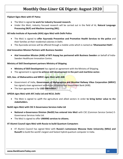#### **Flipkart Signs MoU with IIT Patna**

- The MoU is signed **to work for industry focused research.**
- Under this MoU, industry focused research will be carried out in the field of AI, **Natural Language Processing (NLP) and Machine Learning (ML).**

#### **All India Institute of Ayurveda (AIIA) signs MoU with Delhi Police**

- The MoU is signed to **offer Ayurveda Preventive and Promotive Health Services to the police** and their families at their residential colonies in Delhi.
- The Ayurveda services will be offered through a mobile unite which is named as **'Dhanwantari Rath'.**

#### **Atal Innovation Mission Partners with Business Sweden**

 **Atal Innovation Mission (AIM) of NITI Aayog has partnered with Business Sweden** on behalf of India-Sweden Healthcare Innovation Centre.

#### **Ministry of Skill Development partners Ministry of Shipping**

- **Ministry of Skill Development** has signed an agreement with the Ministry of Shipping.
- The agreement is signed **to achieve skill development in the port and maritime sector.**

#### **GOI, Gov. of Maharashtra and MRVC signs MoU with AIIB**

- Government of India, **Government of Maharashtra and Mumbai Railway Vikas Corporation (MRVC)** has signed a loan agreement with Asian Infrastructure Investment Bank (AIIB).
- The loan agreement is for **USD 500 million.**

#### **APEDA signs MoU with AFC India Ltd and NCUI, Delhi**

 The MoU is signed to uplift the agriculture and allied sectors in order **to bring better value to the stakeholders.**

#### **NeGD signs MoU with CSC E-Governance Services India Ltd**

- **National e-Governance Division (NeGD) has entered into MoU** with CSC (Common Service Center) E-Governance Services India Ltd.
- The MoU is signed to offer **UMANG services to citizens.**

#### **IIT Alumni Council signs MoU with Russia to build Quantum Computers**

 IIT Alumni Council has signed MoU with **Russia's Lomonosov Moscow State University (MSU) and Russoft** to build the world's largest and fastest hybrid quantum computer in India.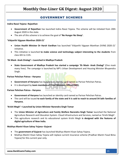## GOVERNMENT SCHEMES

#### <span id="page-15-0"></span>**Indira Rasoi Yojana- Rajasthan**

- **Government of Rajasthan** has launched Indira Rasoi Yojana. The scheme will be initiated from 20th August 2020 in the state.
- The aim of this scheme is to achieve the goal of **'No Hunger No Sleep'.**

#### **'Vidyarthi Vigyaan Manthan 2020-21'**

- **Union Health Minister Dr Harsh Vardhan** has launched 'Vidyarthi Vigyaan Manthan (VVM) 2020-21' initiative.
- This initiative is launched **to make science and technology subject interesting to the students** from class 6th to 11th.

**'Ek Mask- Anek Zindagi'—Launched in Madhya Pradesh**

 **State Government of Madhya Pradesh has started a campaign 'Ek Mask- Anek Zindagi'** (One mask many lives). The campaign is launched by MP's Urban Development and Housing Minister Bhupendra Singh.

#### **Parivar Pehchan Patras-- Haryana**

- **Government of Haryana** has launched an identity card named as Parivar Pehchan Patras.
- **It is developed by team members of Chief Ministers Office(CMO).**

#### **Parivar Pehchan Patras-- Haryana**

- **Government of Haryana** has launched an identity card named as Parivar Pehchan Patras.
- The card will be issued **to each family of the state and it is said to reach to around 54 lakh families of Haryana.**

#### **'Krishi Megh'—Launched by Union Minister Narendra Singh Tomar**

- The **Union Minister of Agriculture and Family Welfare Narendra Singh Tomar** launched the National Agriculture Research and Education System- Cloud Infrastructure and Services, named as 'Krishi Megh'.
- This agriculture research and its educational system Krishi Megh **is designed with the features of digital agriculture of New India.**

#### **Mukhya Mantri Kisan Sahay Yojana--Gujarat**

- The **government of Gujarat** has launched Mukhya Mantri Kisan Sahay Yojana.
- Mukhya Mantri Kisan Sahay Yojana will replace current insurance scheme (Pradhan Mantri Fasal Bima Yojana) for this current year only.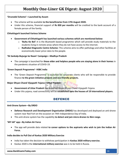#### **'Orunodol Scheme'—Launched by Assam**

- The scheme will be available **to the beneficiaries from 17th August 2020.**
- Under this scheme, financial support of **Rs 830 per months** will be credited to the bank account of a female person of the family.

#### **Chhattisgarh launched Various Scheme**

- **Government of Chhattisgarh has launched various schemes which are mentioned below:**
	- o **'Bultu Ke Bol':** It is the Bluetooth based programme which will provide study materials to the students living in remote areas where they do not have access to the internet.
	- o **Radhabai Diagnostic Centre Scheme:** This scheme aims to offer pathology and other facilities at economically lower price rates to the people.

#### **'Ek Sankalp-Bujurgo ke Naam' Campaign—Madhya Pradesh**

 The campaign is launched for **those elder and helpless people who are staying alone in their homes** in the pandemic situation of COVID-19.

#### **'Green Deposit Programme'- HSBC India**

• The 'Green Deposit Programme' is launched for corporate clients who will be responsible to provide finance **to the green initiative projects and eco-friendly projects.**

#### **Major Dhyan Chand Vijaypath Yojana—Uttar Pradesh**

- **Government of Uttar Pradesh** has launched Major Dhyan Chand Vijaypath Yojana.
- <span id="page-16-0"></span>Under this yojana, road connectivity will be **established upto the houses of 19 international players.**

## DEFENCE

#### **Anti-Drone System—By DRDO**

- **Defence Research and Development Organisation (DRDO)** has developed and deployed an anti-drone system near Red Fort on the occasion on 74th Independence Day of India.
- This anti-drone system has the capability **to detect and jam micro drones to 3km range.**

#### **'MY IAF' app—By Indian Air Force**

 The app will provide data related **to career options to the aspirants who wish to join the Indian Air Force.**

#### **India decides to Pull Out of Kavkaz 2020 Military Exercise**

- India has taken the decision to withdraw participation in **Kavkaz 2020 military exercise.**
- Kavkaz 2020 is the **international military exercise** was is to be held in Russia.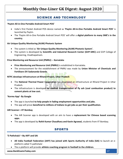## SCIENCE AND TECHNOLOGY

#### <span id="page-17-0"></span>**'Paytm All-in-One Portable Android Smart POS'**

- India's first Pocket Android POS device named as **'Paytm All-in-One Portable Android Smart POS'** is launched by Paytm.
- The 'Paytm All-in-One Portable Android Smart POS' will offer a **digital platform to many SME's in the country.**

#### **Air Unique Quality Monitoring (AUM) Photonic System**

- The system is titled as **'Air Unique Quality Monitoring (AUM) Photonic System'.**
- The system is developed by **Scientific and Industrial Research Center (GVP-SIRC)** and GVP College of Engineering, Visakhapatnam.

#### **Price Monitoring and Resource Unit (PMRU) -- Karnataka**

- **Price Monitoring and Resource Unit (PMRU)** is established in Karnataka.
- The announcement for the establishment of PMRU was made by **Union Minister of Chemicals and Fertilisers DV Sadananda Gowda.**

#### **NTPC develops Infrastructure at Rihand Project, Uttar Pradesh**

- The **National Thermal Power Corporation** has developed an infrastructure at Rihand Project in Uttar Pradesh.
- The infrastructure is developed **to conduct transportation of fly ash (coal combustion product) to cement plants at low cost.**

#### **'Kormo App'- By Google**

- The app is launched **to help people in fading employment opportunities and jobs.**
- The app will prove **beneficial to millions of Indians to get jobs as per their qualification.**

#### **AIR Scanner—IIT Bombay**

- The AIR Scanner app is developed with an aim to have a **replacement for Chinese based scanning apps.**
- <span id="page-17-1"></span>The app is developed by **Rohit Kumar Chaudhary and Kavin Agrawal,** students from IIT Bombay.

### SPORTS

#### **'E-Pathshala'—By AIFF and SAI**

- **All India Football Federation (AIFF) has joined with Sports Authority of India (SAI)** to launch an eplatform called 'E-pathshala'.
- The e-platform will provide **athlete coaching program in football to the children.**

#### **www.BankExamsToday.com** 17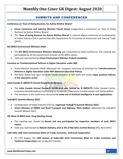## SUMMITS AND CONFERENCES

<span id="page-18-0"></span>**Conference on 'Ease of Doing Business for Aatma Nirbhar Bharat'**

- **Union Commerce and Industry Minister Piyush Goyal** inaugurated a conference on 'Ease of Doing Business for Aatma Nirbhar Bharat'.
- This **'Ease of Doing Business for Aatma Nirbhar Bharat'** is national digital conference of Confederation of Indian Industry (CII) in partnership with Department for Promotion of Investment and Internal Trade (DPIIT).

#### **6th BRICS Environment Ministers Meet**

- The **6th BRICS Environment Ministers Meeting** was conducted via video conference. The meeting was participated by all the environment minister of the BRICS nation.
- India was represented by **Union Environment Minister Prakash Javadekar.**

#### **Conclave on Transformational Reforms in Higher Education under NEP**

- Prime Minister Narendra Modi addressed the inaugural ceremony of Conclave on **Transformational Reforms in Higher Education under NEP (National Education Policy).**
- PM Modi stated that upon successful implementation of NEP 2020 will create **major positive reforms in the education sector.**

#### **India Canada IC-IMPACTS Annual Research Conference**

- The **India Canada Annual Research Conference was hosted by IC-IMPACTS** (India Canada Centre-Innovative Multidisciplinary Partnership to Accelerate Community Transformation and Sustainability).
- The members in the conference discussed **to make use of Artificial Intelligence in vast applications.**

#### **'India@75 Summit-Mission 2022'**

- Confederation of Indian Industry (CII) has **organized 'India@75 Summit-Mission 2022'.**
- **Union Minister of MSME and Road Transport and Highway, Nitin Gadkari** addressed the India@75 Summit-Mission 2022'.

#### **4th Meet of BRICS Anti- Drug Working Group**

- The meeting was chaired by **Russia and was participated by respective members of each BRICS nation.**
- India was represented by **Rakesh Asthana, who is DG of Narcotics Control Bureau** (HQ: New Delhi).

#### **13th India-UAE Joint Commission Meet on Trade, Economic, Technical Cooperation**

 On 17th August, the **13th session of India-UAE Joint Commission Meet on Trade, Economic and Technical Cooperation** was conducted virtually.